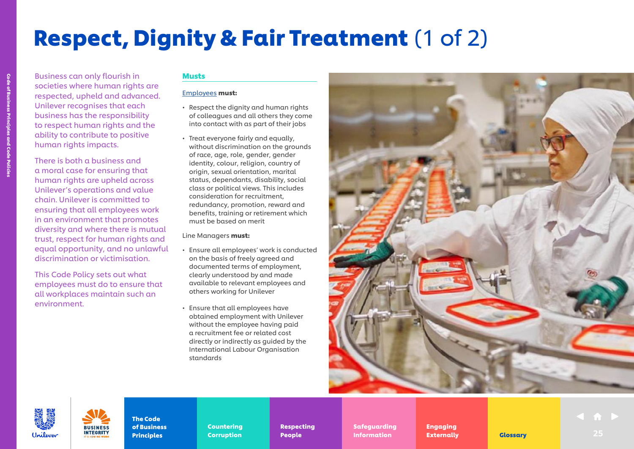# Respect, Dignity & Fair Treatment (1 of 2)

Business can only flourish in societies where human rights are respected, upheld and advanced. Unilever recognises that each business has the responsibility to respect human rights and the ability to contribute to positive human rights impacts.

> There is both a business and a moral case for ensuring that human rights are upheld across Unilever's operations and value chain. Unilever is committed to ensuring that all employees work in an environment that promotes diversity and where there is mutual trust, respect for human rights and equal opportunity, and no unlawful discrimination or victimisation.

This Code Policy sets out what employees must do to ensure that all workplaces maintain such an environment.

## Musts

### [Employees](https://unilever.sharepoint.com/:b:/s/Code%20and%20Code%20Policies/EdzBsjeFnGhEr7DcM2GrA5gBpFG3-zoytb8kb7YpAEwF1A?e=9pNGFV) must:

- Respect the dignity and human rights of colleagues and all others they come into contact with as part of their jobs
- Treat everyone fairly and equally, without discrimination on the grounds of race, age, role, gender, gender identity, colour, religion, country of origin, sexual orientation, marital status, dependants, disability, social class or political views. This includes consideration for recruitment, redundancy, promotion, reward and benefits, training or retirement which must be based on merit

Line Managers must:

- Ensure all employees' work is conducted on the basis of freely agreed and documented terms of employment, clearly understood by and made available to relevant employees and others working for Unilever
- Ensure that all employees have obtained employment with Unilever without the employee having paid a recruitment fee or related cost directly or indirectly as guided by the International Labour Organisation standards





The Code of Business **INTEGRITY Principles** 

Countering Countering Corruption Corruption

Respecting Respecting People People

Safeguarding Safeguarding

Engaging Engaging Externally Externally **Indian Externally Clossary** 25 Information **Externally** 25 Clossary